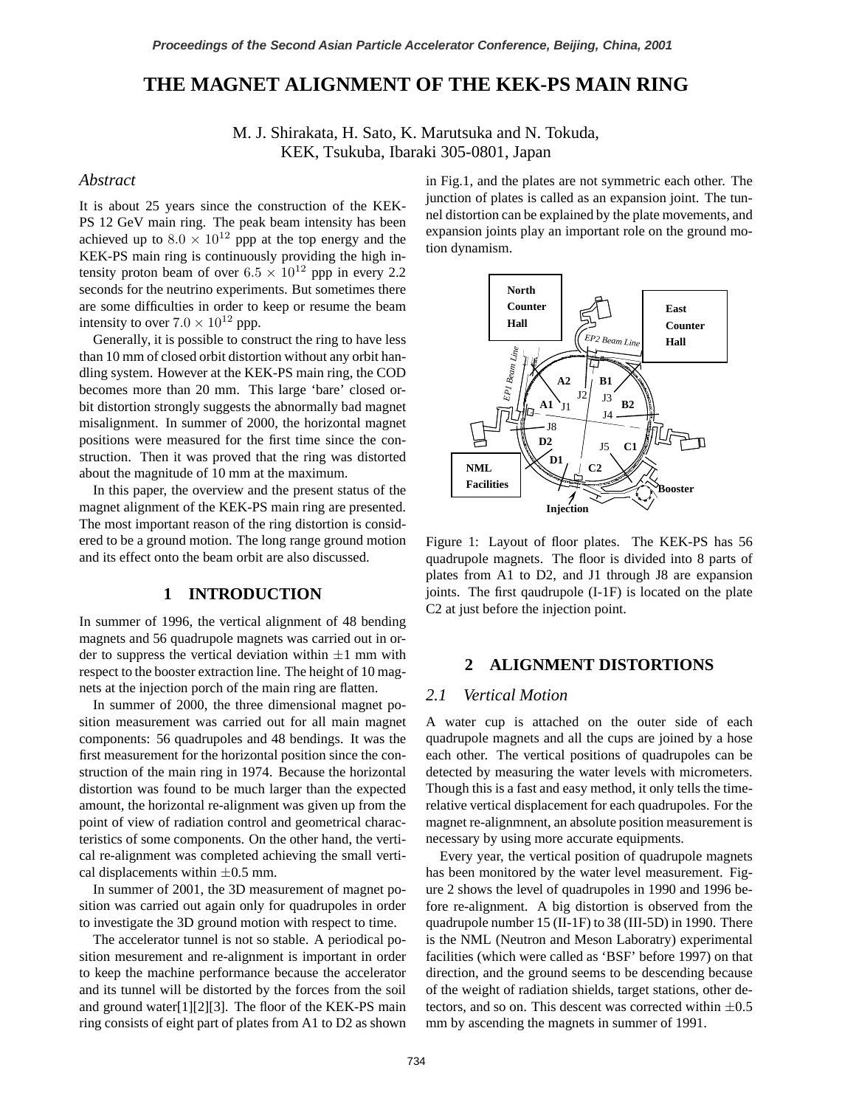# **THE MAGNET ALIGNMENT OF THE KEK-PS MAIN RING**

M. J. Shirakata, H. Sato, K. Marutsuka and N. Tokuda, KEK, Tsukuba, Ibaraki 305-0801, Japan

#### *Abstract*

It is about 25 years since the construction of the KEK-PS 12 GeV main ring. The peak beam intensity has been achieved up to  $8.0 \times 10^{12}$  ppp at the top energy and the KEK-PS main ring is continuously providing the high intensity proton beam of over  $6.5 \times 10^{12}$  ppp in every 2.2 seconds for the neutrino experiments. But sometimes there are some difficulties in order to keep or resume the beam intensity to over  $7.0 \times 10^{12}$  ppp.

Generally, it is possible to construct the ring to have less than 10 mm of closed orbit distortion without any orbit handling system. However at the KEK-PS main ring, the COD becomes more than 20 mm. This large 'bare' closed orbit distortion strongly suggests the abnormally bad magnet misalignment. In summer of 2000, the horizontal magnet positions were measured for the first time since the construction. Then it was proved that the ring was distorted about the magnitude of 10 mm at the maximum.

In this paper, the overview and the present status of the magnet alignment of the KEK-PS main ring are presented. The most important reason of the ring distortion is considered to be a ground motion. The long range ground motion and its effect onto the beam orbit are also discussed.

#### **1 INTRODUCTION**

In summer of 1996, the vertical alignment of 48 bending magnets and 56 quadrupole magnets was carried out in order to suppress the vertical deviation within *±*1 mm with respect to the booster extraction line. The height of 10 magnets at the injection porch of the main ring are flatten.

In summer of 2000, the three dimensional magnet position measurement was carried out for all main magnet components: 56 quadrupoles and 48 bendings. It was the first measurement for the horizontal position since the construction of the main ring in 1974. Because the horizontal distortion was found to be much larger than the expected amount, the horizontal re-alignment was given up from the point of view of radiation control and geometrical characteristics of some components. On the other hand, the vertical re-alignment was completed achieving the small vertical displacements within *±*0.5 mm.

In summer of 2001, the 3D measurement of magnet position was carried out again only for quadrupoles in order to investigate the 3D ground motion with respect to time.

The accelerator tunnel is not so stable. A periodical position mesurement and re-alignment is important in order to keep the machine performance because the accelerator and its tunnel will be distorted by the forces from the soil and ground water[1][2][3]. The floor of the KEK-PS main ring consists of eight part of plates from A1 to D2 as shown in Fig.1, and the plates are not symmetric each other. The junction of plates is called as an expansion joint. The tunnel distortion can be explained by the plate movements, and expansion joints play an important role on the ground motion dynamism.



Figure 1: Layout of floor plates. The KEK-PS has 56 quadrupole magnets. The floor is divided into 8 parts of plates from A1 to D2, and J1 through J8 are expansion joints. The first qaudrupole (I-1F) is located on the plate C2 at just before the injection point.

# **2 ALIGNMENT DISTORTIONS**

## *2.1 Vertical Motion*

A water cup is attached on the outer side of each quadrupole magnets and all the cups are joined by a hose each other. The vertical positions of quadrupoles can be detected by measuring the water levels with micrometers. Though this is a fast and easy method, it only tells the timerelative vertical displacement for each quadrupoles. For the magnet re-alignmnent, an absolute position measurement is necessary by using more accurate equipments.

Every year, the vertical position of quadrupole magnets has been monitored by the water level measurement. Figure 2 shows the level of quadrupoles in 1990 and 1996 before re-alignment. A big distortion is observed from the quadrupole number 15 (II-1F) to 38 (III-5D) in 1990. There is the NML (Neutron and Meson Laboratry) experimental facilities (which were called as 'BSF' before 1997) on that direction, and the ground seems to be descending because of the weight of radiation shields, target stations, other detectors, and so on. This descent was corrected within *±*0.5 mm by ascending the magnets in summer of 1991.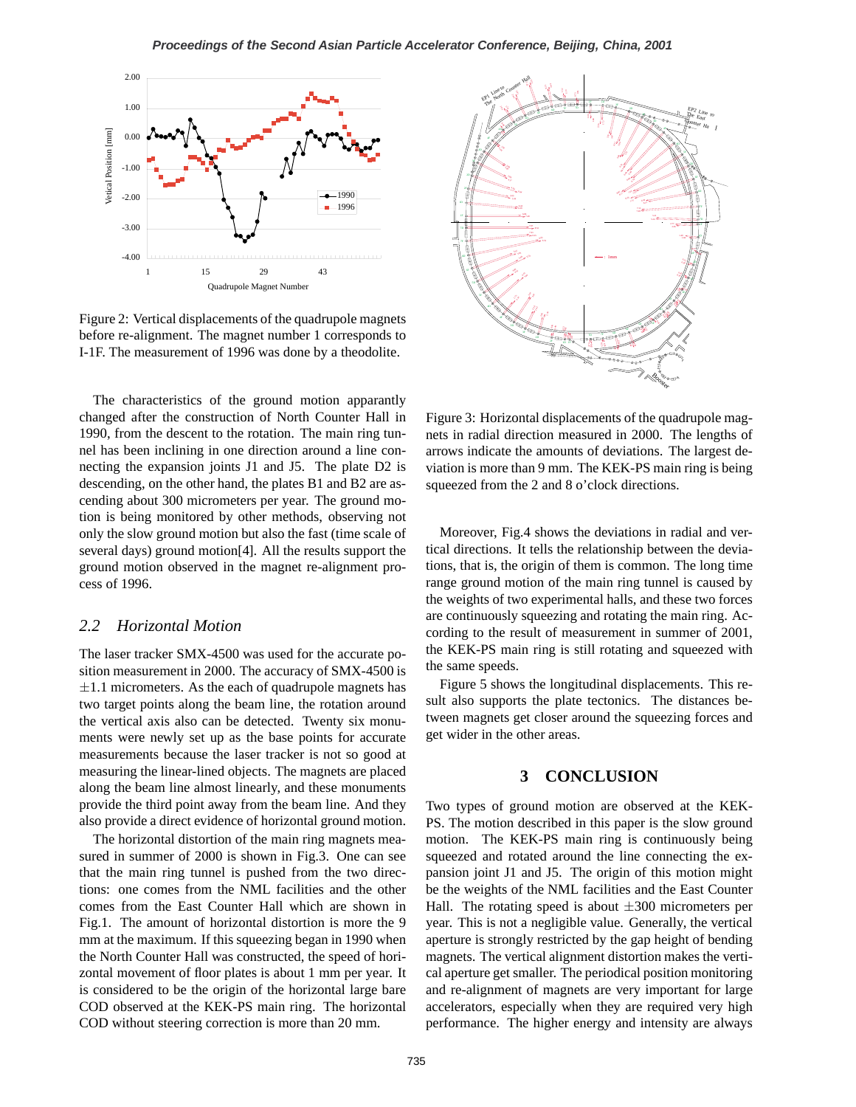

Figure 2: Vertical displacements of the quadrupole magnets before re-alignment. The magnet number 1 corresponds to I-1F. The measurement of 1996 was done by a theodolite.

The characteristics of the ground motion apparantly changed after the construction of North Counter Hall in 1990, from the descent to the rotation. The main ring tunnel has been inclining in one direction around a line connecting the expansion joints J1 and J5. The plate D2 is descending, on the other hand, the plates B1 and B2 are ascending about 300 micrometers per year. The ground motion is being monitored by other methods, observing not only the slow ground motion but also the fast (time scale of several days) ground motion[4]. All the results support the ground motion observed in the magnet re-alignment process of 1996.

# *2.2 Horizontal Motion*

The laser tracker SMX-4500 was used for the accurate position measurement in 2000. The accuracy of SMX-4500 is *±*1.1 micrometers. As the each of quadrupole magnets has two target points along the beam line, the rotation around the vertical axis also can be detected. Twenty six monuments were newly set up as the base points for accurate measurements because the laser tracker is not so good at measuring the linear-lined objects. The magnets are placed along the beam line almost linearly, and these monuments provide the third point away from the beam line. And they also provide a direct evidence of horizontal ground motion.

The horizontal distortion of the main ring magnets measured in summer of 2000 is shown in Fig.3. One can see that the main ring tunnel is pushed from the two directions: one comes from the NML facilities and the other comes from the East Counter Hall which are shown in Fig.1. The amount of horizontal distortion is more the 9 mm at the maximum. If this squeezing began in 1990 when the North Counter Hall was constructed, the speed of horizontal movement of floor plates is about 1 mm per year. It is considered to be the origin of the horizontal large bare COD observed at the KEK-PS main ring. The horizontal COD without steering correction is more than 20 mm.



Figure 3: Horizontal displacements of the quadrupole magnets in radial direction measured in 2000. The lengths of arrows indicate the amounts of deviations. The largest deviation is more than 9 mm. The KEK-PS main ring is being squeezed from the 2 and 8 o'clock directions.

Moreover, Fig.4 shows the deviations in radial and vertical directions. It tells the relationship between the deviations, that is, the origin of them is common. The long time range ground motion of the main ring tunnel is caused by the weights of two experimental halls, and these two forces are continuously squeezing and rotating the main ring. According to the result of measurement in summer of 2001, the KEK-PS main ring is still rotating and squeezed with the same speeds.

Figure 5 shows the longitudinal displacements. This result also supports the plate tectonics. The distances between magnets get closer around the squeezing forces and get wider in the other areas.

# **3 CONCLUSION**

Two types of ground motion are observed at the KEK-PS. The motion described in this paper is the slow ground motion. The KEK-PS main ring is continuously being squeezed and rotated around the line connecting the expansion joint J1 and J5. The origin of this motion might be the weights of the NML facilities and the East Counter Hall. The rotating speed is about *±*300 micrometers per year. This is not a negligible value. Generally, the vertical aperture is strongly restricted by the gap height of bending magnets. The vertical alignment distortion makes the vertical aperture get smaller. The periodical position monitoring and re-alignment of magnets are very important for large accelerators, especially when they are required very high performance. The higher energy and intensity are always